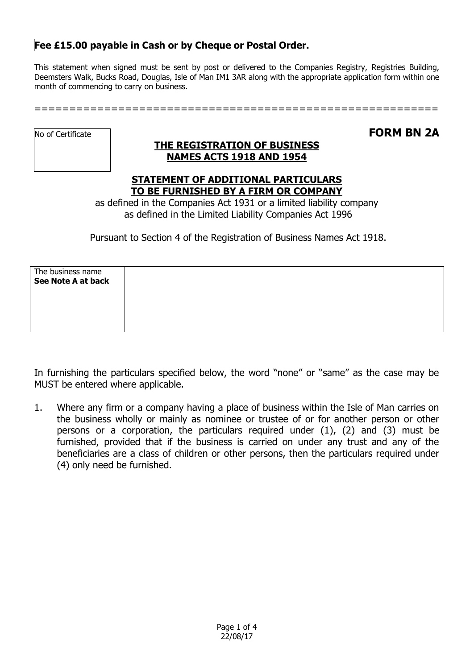## **Fee £15.00 payable in Cash or by Cheque or Postal Order.**

This statement when signed must be sent by post or delivered to the Companies Registry, Registries Building, Deemsters Walk, Bucks Road, Douglas, Isle of Man IM1 3AR along with the appropriate application form within one month of commencing to carry on business.

==========================================================

No of Certificate

## **THE REGISTRATION OF BUSINESS NAMES ACTS 1918 AND 1954**

**FORM BN 2A**

## **STATEMENT OF ADDITIONAL PARTICULARS TO BE FURNISHED BY A FIRM OR COMPANY**

as defined in the Companies Act 1931 or a limited liability company as defined in the Limited Liability Companies Act 1996

Pursuant to Section 4 of the Registration of Business Names Act 1918.

| The business name  |  |  |
|--------------------|--|--|
| See Note A at back |  |  |
|                    |  |  |
|                    |  |  |
|                    |  |  |
|                    |  |  |
|                    |  |  |

In furnishing the particulars specified below, the word "none" or "same" as the case may be MUST be entered where applicable.

1. Where any firm or a company having a place of business within the Isle of Man carries on the business wholly or mainly as nominee or trustee of or for another person or other persons or a corporation, the particulars required under (1), (2) and (3) must be furnished, provided that if the business is carried on under any trust and any of the beneficiaries are a class of children or other persons, then the particulars required under (4) only need be furnished.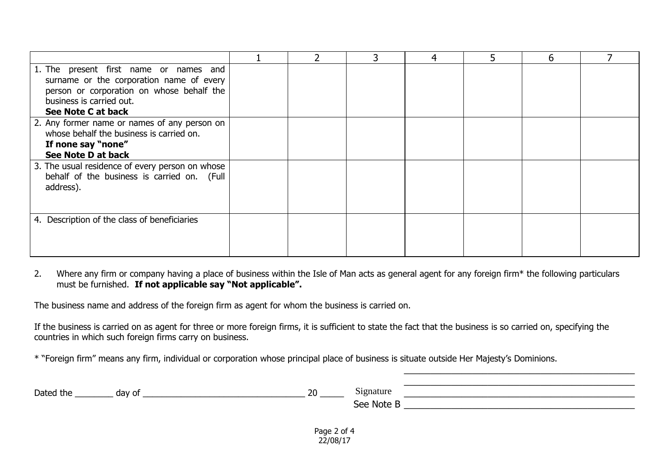|                                                 |  | 4 | 5 | 6 |  |
|-------------------------------------------------|--|---|---|---|--|
| 1. The present first name or names and          |  |   |   |   |  |
| surname or the corporation name of every        |  |   |   |   |  |
| person or corporation on whose behalf the       |  |   |   |   |  |
| business is carried out.                        |  |   |   |   |  |
| See Note C at back                              |  |   |   |   |  |
| 2. Any former name or names of any person on    |  |   |   |   |  |
| whose behalf the business is carried on.        |  |   |   |   |  |
| If none say "none"                              |  |   |   |   |  |
| See Note D at back                              |  |   |   |   |  |
| 3. The usual residence of every person on whose |  |   |   |   |  |
| behalf of the business is carried on. (Full     |  |   |   |   |  |
| address).                                       |  |   |   |   |  |
|                                                 |  |   |   |   |  |
|                                                 |  |   |   |   |  |
| 4. Description of the class of beneficiaries    |  |   |   |   |  |
|                                                 |  |   |   |   |  |
|                                                 |  |   |   |   |  |
|                                                 |  |   |   |   |  |

#### 2. Where any firm or company having a place of business within the Isle of Man acts as general agent for any foreign firm\* the following particulars must be furnished. **If not applicable say "Not applicable".**

The business name and address of the foreign firm as agent for whom the business is carried on.

If the business is carried on as agent for three or more foreign firms, it is sufficient to state the fact that the business is so carried on, specifying the countries in which such foreign firms carry on business.

\* "Foreign firm" means any firm, individual or corporation whose principal place of business is situate outside Her Majesty's Dominions.

| Dated the | day o' | ാറ<br>∠∪ | $\sim \cdot$<br>∵ignature |  |
|-----------|--------|----------|---------------------------|--|
|           |        |          | See Note i                |  |
|           |        |          |                           |  |

\_\_\_\_\_\_\_\_\_\_\_\_\_\_\_\_\_\_\_\_\_\_\_\_\_\_\_\_\_\_\_\_\_\_\_\_\_\_\_\_\_\_\_\_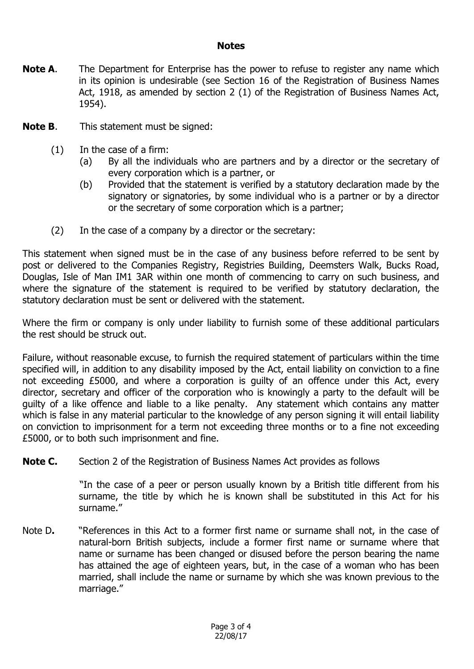### **Notes**

- **Note A.** The Department for Enterprise has the power to refuse to register any name which in its opinion is undesirable (see Section 16 of the Registration of Business Names Act, 1918, as amended by section 2 (1) of the Registration of Business Names Act, 1954).
- **Note B**. This statement must be signed:
	- (1) In the case of a firm:
		- (a) By all the individuals who are partners and by a director or the secretary of every corporation which is a partner, or
		- (b) Provided that the statement is verified by a statutory declaration made by the signatory or signatories, by some individual who is a partner or by a director or the secretary of some corporation which is a partner;
	- (2) In the case of a company by a director or the secretary:

This statement when signed must be in the case of any business before referred to be sent by post or delivered to the Companies Registry, Registries Building, Deemsters Walk, Bucks Road, Douglas, Isle of Man IM1 3AR within one month of commencing to carry on such business, and where the signature of the statement is required to be verified by statutory declaration, the statutory declaration must be sent or delivered with the statement.

Where the firm or company is only under liability to furnish some of these additional particulars the rest should be struck out.

Failure, without reasonable excuse, to furnish the required statement of particulars within the time specified will, in addition to any disability imposed by the Act, entail liability on conviction to a fine not exceeding £5000, and where a corporation is guilty of an offence under this Act, every director, secretary and officer of the corporation who is knowingly a party to the default will be guilty of a like offence and liable to a like penalty. Any statement which contains any matter which is false in any material particular to the knowledge of any person signing it will entail liability on conviction to imprisonment for a term not exceeding three months or to a fine not exceeding £5000, or to both such imprisonment and fine.

**Note C.** Section 2 of the Registration of Business Names Act provides as follows

"In the case of a peer or person usually known by a British title different from his surname, the title by which he is known shall be substituted in this Act for his surname."

Note D**.** "References in this Act to a former first name or surname shall not, in the case of natural-born British subjects, include a former first name or surname where that name or surname has been changed or disused before the person bearing the name has attained the age of eighteen years, but, in the case of a woman who has been married, shall include the name or surname by which she was known previous to the marriage."